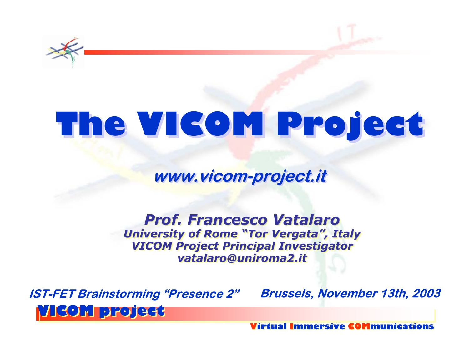

## **The VICOM Project The VICOM Project**

**www.vicom-project.it www.vicom-project.it**

*Prof. Francesco VatalaroProf. Francesco Prof. Francesco Vatalaro VatalaroUniversity of Rome "Tor Vergata", Italy University of University of Rome "Tor Vergata", "Tor Vergata", Italy VICOM Project Principal Investigator VICOM Project Principal Project Principal Investigator Investigator vatalaro@uniroma2.it vatalaro vatalaro@uniroma2. @uniroma2.it*

**VICOM project VICOM project IST-FET Brainstorming "Presence 2" Brussels, November 13th, 2003**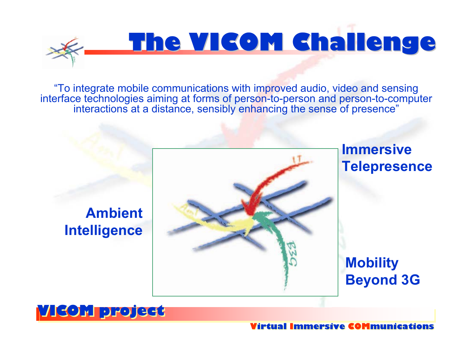"To integrate mobile communications with improved audio, video and sensing interface technologies aiming at forms of person-to-person and person-to-computer interactions at a distance, sensibly enhancing the sense of presence"

**The VICOM The VICOM Challenge Challenge**



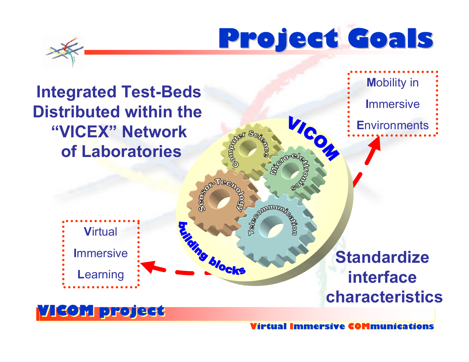## **Project Goals Project Goals**

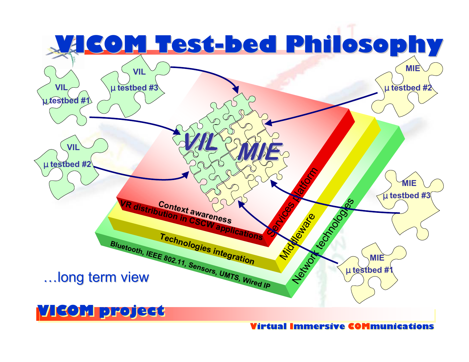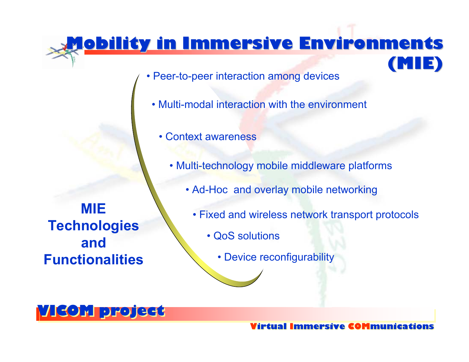## **Mobility Mobility in Immersive Environments Immersive Environments (MIE)**

- Peer-to-peer interaction among devices
	- Multi-modal interaction with the environment
		- Context awareness
			- Multi-technology mobile middleware platforms
				- Ad-Hoc and overlay mobile networking

**MIE Technologies and Functionalities**

- Fixed and wireless network transport protocols
	- QoS solutions
		- Device reconfigurability